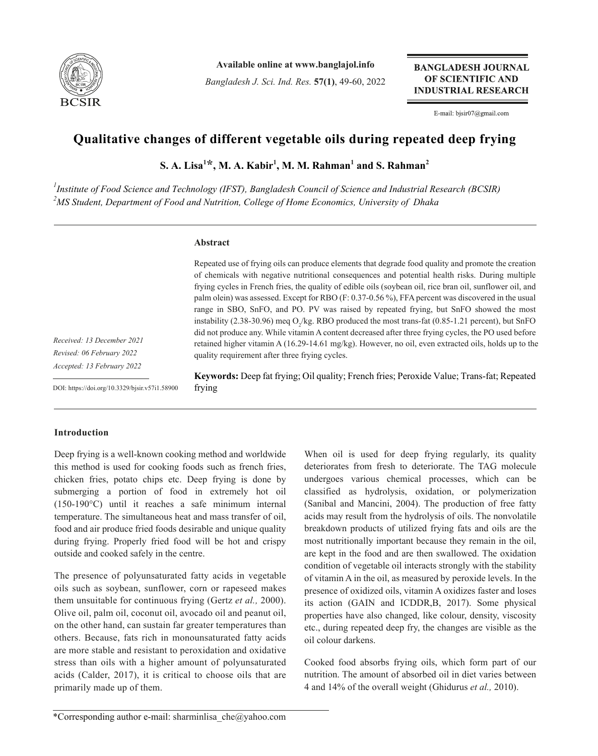

**Available online at www.banglajol.info**

*Bangladesh J. Sci. Ind. Res.* **57(1)**, 49-60, 2022

**BANGLADESH JOURNAL** OF SCIENTIFIC AND **INDUSTRIAL RESEARCH** 

E-mail: bjsir07@gmail.com

# **Qualitative changes of different vegetable oils during repeated deep frying**

 $\mathbf{S}.$  A. Lisa<sup>1\*</sup>, M. A. Kabir<sup>1</sup>, M. M. Rahman<sup>1</sup> and S. Rahman<sup>2</sup>

*1 Institute of Food Science and Technology (IFST), Bangladesh Council of Science and Industrial Research (BCSIR) 2 MS Student, Department of Food and Nutrition, College of Home Economics, University of Dhaka*

# **Abstract**

Repeated use of frying oils can produce elements that degrade food quality and promote the creation of chemicals with negative nutritional consequences and potential health risks. During multiple frying cycles in French fries, the quality of edible oils (soybean oil, rice bran oil, sunflower oil, and palm olein) was assessed. Except for RBO (F: 0.37-0.56 %), FFA percent was discovered in the usual range in SBO, SnFO, and PO. PV was raised by repeated frying, but SnFO showed the most instability (2.38-30.96) meq  $O_2$ /kg. RBO produced the most trans-fat (0.85-1.21 percent), but SnFO did not produce any. While vitamin A content decreased after three frying cycles, the PO used before retained higher vitamin A (16.29-14.61 mg/kg). However, no oil, even extracted oils, holds up to the quality requirement after three frying cycles.

*Received: 13 December 2021 Revised: 06 February 2022 Accepted: 13 February 2022*

DOI: https://doi.org/10.3329/bjsir.v57i1.58900

**Keywords:** Deep fat frying; Oil quality; French fries; Peroxide Value; Trans-fat; Repeated frying

# **Introduction**

Deep frying is a well-known cooking method and worldwide this method is used for cooking foods such as french fries, chicken fries, potato chips etc. Deep frying is done by submerging a portion of food in extremely hot oil (150-190°C) until it reaches a safe minimum internal temperature. The simultaneous heat and mass transfer of oil, food and air produce fried foods desirable and unique quality during frying. Properly fried food will be hot and crispy outside and cooked safely in the centre.

The presence of polyunsaturated fatty acids in vegetable oils such as soybean, sunflower, corn or rapeseed makes them unsuitable for continuous frying (Gertz *et al.,* 2000). Olive oil, palm oil, coconut oil, avocado oil and peanut oil, on the other hand, can sustain far greater temperatures than others. Because, fats rich in monounsaturated fatty acids are more stable and resistant to peroxidation and oxidative stress than oils with a higher amount of polyunsaturated acids (Calder, 2017), it is critical to choose oils that are primarily made up of them.

When oil is used for deep frying regularly, its quality deteriorates from fresh to deteriorate. The TAG molecule undergoes various chemical processes, which can be classified as hydrolysis, oxidation, or polymerization (Sanibal and Mancini, 2004). The production of free fatty acids may result from the hydrolysis of oils. The nonvolatile breakdown products of utilized frying fats and oils are the most nutritionally important because they remain in the oil, are kept in the food and are then swallowed. The oxidation condition of vegetable oil interacts strongly with the stability of vitamin A in the oil, as measured by peroxide levels. In the presence of oxidized oils, vitamin A oxidizes faster and loses its action (GAIN and ICDDR,B, 2017). Some physical properties have also changed, like colour, density, viscosity etc., during repeated deep fry, the changes are visible as the oil colour darkens.

Cooked food absorbs frying oils, which form part of our nutrition. The amount of absorbed oil in diet varies between 4 and 14% of the overall weight (Ghidurus *et al.,* 2010).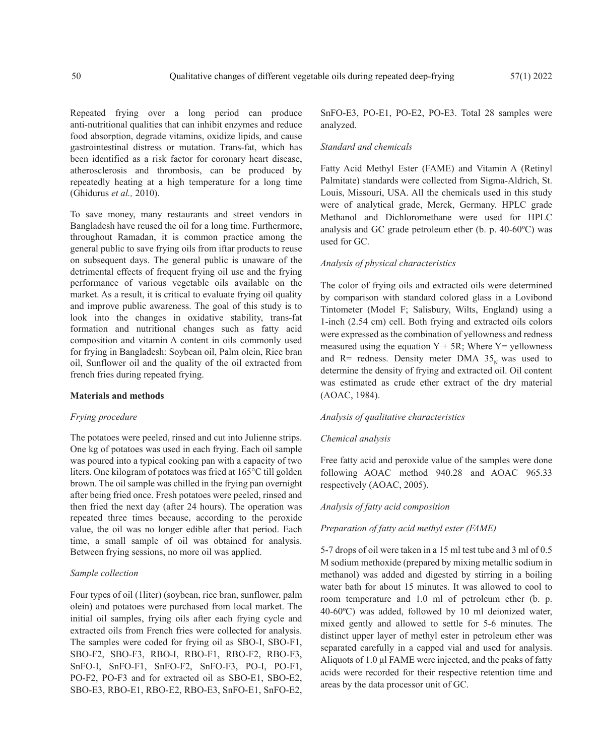Repeated frying over a long period can produce anti-nutritional qualities that can inhibit enzymes and reduce food absorption, degrade vitamins, oxidize lipids, and cause gastrointestinal distress or mutation. Trans-fat, which has been identified as a risk factor for coronary heart disease, atherosclerosis and thrombosis, can be produced by repeatedly heating at a high temperature for a long time (Ghidurus *et al.,* 2010).

To save money, many restaurants and street vendors in Bangladesh have reused the oil for a long time. Furthermore, throughout Ramadan, it is common practice among the general public to save frying oils from iftar products to reuse on subsequent days. The general public is unaware of the detrimental effects of frequent frying oil use and the frying performance of various vegetable oils available on the market. As a result, it is critical to evaluate frying oil quality and improve public awareness. The goal of this study is to look into the changes in oxidative stability, trans-fat formation and nutritional changes such as fatty acid composition and vitamin A content in oils commonly used for frying in Bangladesh: Soybean oil, Palm olein, Rice bran oil, Sunflower oil and the quality of the oil extracted from french fries during repeated frying.

#### **Materials and methods**

#### *Frying procedure*

The potatoes were peeled, rinsed and cut into Julienne strips. One kg of potatoes was used in each frying. Each oil sample was poured into a typical cooking pan with a capacity of two liters. One kilogram of potatoes was fried at 165°C till golden brown. The oil sample was chilled in the frying pan overnight after being fried once. Fresh potatoes were peeled, rinsed and then fried the next day (after 24 hours). The operation was repeated three times because, according to the peroxide value, the oil was no longer edible after that period. Each time, a small sample of oil was obtained for analysis. Between frying sessions, no more oil was applied.

#### *Sample collection*

Four types of oil (1liter) (soybean, rice bran, sunflower, palm olein) and potatoes were purchased from local market. The initial oil samples, frying oils after each frying cycle and extracted oils from French fries were collected for analysis. The samples were coded for frying oil as SBO-I, SBO-F1, SBO-F2, SBO-F3, RBO-I, RBO-F1, RBO-F2, RBO-F3, SnFO-I, SnFO-F1, SnFO-F2, SnFO-F3, PO-I, PO-F1, PO-F2, PO-F3 and for extracted oil as SBO-E1, SBO-E2, SBO-E3, RBO-E1, RBO-E2, RBO-E3, SnFO-E1, SnFO-E2,

SnFO-E3, PO-E1, PO-E2, PO-E3. Total 28 samples were analyzed.

# *Standard and chemicals*

Fatty Acid Methyl Ester (FAME) and Vitamin A (Retinyl Palmitate) standards were collected from Sigma-Aldrich, St. Louis, Missouri, USA. All the chemicals used in this study were of analytical grade, Merck, Germany. HPLC grade Methanol and Dichloromethane were used for HPLC analysis and GC grade petroleum ether (b. p. 40-60ºC) was used for GC.

#### *Analysis of physical characteristics*

The color of frying oils and extracted oils were determined by comparison with standard colored glass in a Lovibond Tintometer (Model F; Salisbury, Wilts, England) using a 1-inch (2.54 cm) cell. Both frying and extracted oils colors were expressed as the combination of yellowness and redness measured using the equation  $Y + 5R$ ; Where  $Y =$  yellowness and R= redness. Density meter DMA  $35<sub>N</sub>$  was used to determine the density of frying and extracted oil. Oil content was estimated as crude ether extract of the dry material (AOAC, 1984).

#### *Analysis of qualitative characteristics*

#### *Chemical analysis*

Free fatty acid and peroxide value of the samples were done following AOAC method 940.28 and AOAC 965.33 respectively (AOAC, 2005).

#### *Analysis of fatty acid composition*

#### *Preparation of fatty acid methyl ester (FAME)*

5-7 drops of oil were taken in a 15 ml test tube and 3 ml of 0.5 M sodium methoxide (prepared by mixing metallic sodium in methanol) was added and digested by stirring in a boiling water bath for about 15 minutes. It was allowed to cool to room temperature and 1.0 ml of petroleum ether (b. p. 40-60ºC) was added, followed by 10 ml deionized water, mixed gently and allowed to settle for 5-6 minutes. The distinct upper layer of methyl ester in petroleum ether was separated carefully in a capped vial and used for analysis. Aliquots of 1.0 μl FAME were injected, and the peaks of fatty acids were recorded for their respective retention time and areas by the data processor unit of GC.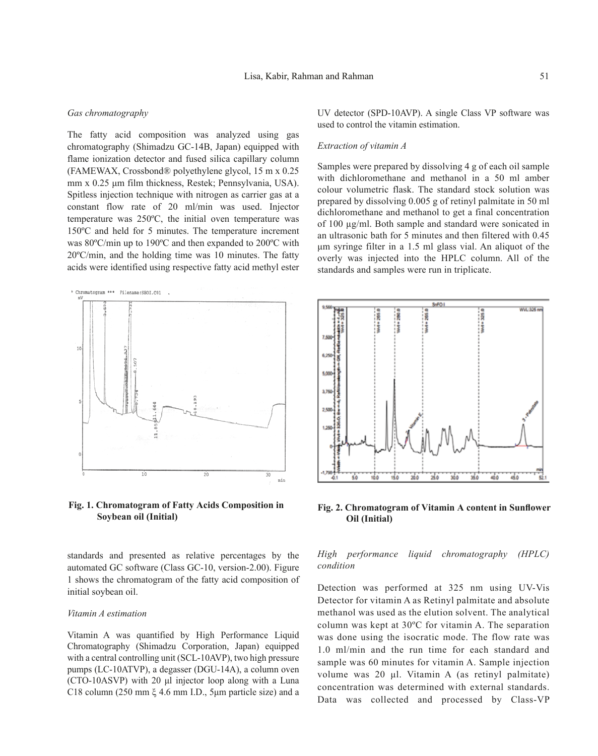#### *Gas chromatography*

The fatty acid composition was analyzed using gas chromatography (Shimadzu GC-14B, Japan) equipped with flame ionization detector and fused silica capillary column (FAMEWAX, Crossbond® polyethylene glycol, 15 m x 0.25 mm x 0.25 μm film thickness, Restek; Pennsylvania, USA). Spitless injection technique with nitrogen as carrier gas at a constant flow rate of 20 ml/min was used. Injector temperature was 250ºC, the initial oven temperature was 150ºC and held for 5 minutes. The temperature increment was 80ºC/min up to 190ºC and then expanded to 200ºC with 20ºC/min, and the holding time was 10 minutes. The fatty acids were identified using respective fatty acid methyl ester



**Fig. 1. Chromatogram of Fatty Acids Composition in Soybean oil (Initial)**

standards and presented as relative percentages by the automated GC software (Class GC-10, version-2.00). Figure 1 shows the chromatogram of the fatty acid composition of initial soybean oil.

#### *Vitamin A estimation*

Vitamin A was quantified by High Performance Liquid Chromatography (Shimadzu Corporation, Japan) equipped with a central controlling unit (SCL-10AVP), two high pressure pumps (LC-10ATVP), a degasser (DGU-14A), a column oven (CTO-10ASVP) with 20 μl injector loop along with a Luna C18 column (250 mm ξ 4.6 mm I.D., 5μm particle size) and a UV detector (SPD-10AVP). A single Class VP software was used to control the vitamin estimation.

#### *Extraction of vitamin A*

Samples were prepared by dissolving 4 g of each oil sample with dichloromethane and methanol in a 50 ml amber colour volumetric flask. The standard stock solution was prepared by dissolving 0.005 g of retinyl palmitate in 50 ml dichloromethane and methanol to get a final concentration of 100 µg/ml. Both sample and standard were sonicated in an ultrasonic bath for 5 minutes and then filtered with 0.45 μm syringe filter in a 1.5 ml glass vial. An aliquot of the overly was injected into the HPLC column. All of the standards and samples were run in triplicate.



**Fig. 2. Chromatogram of Vitamin A content in Sunflower Oil (Initial)**

# *High performance liquid chromatography (HPLC) condition*

Detection was performed at 325 nm using UV-Vis Detector for vitamin A as Retinyl palmitate and absolute methanol was used as the elution solvent. The analytical column was kept at 30ºC for vitamin A. The separation was done using the isocratic mode. The flow rate was 1.0 ml/min and the run time for each standard and sample was 60 minutes for vitamin A. Sample injection volume was 20 μl. Vitamin A (as retinyl palmitate) concentration was determined with external standards. Data was collected and processed by Class-VP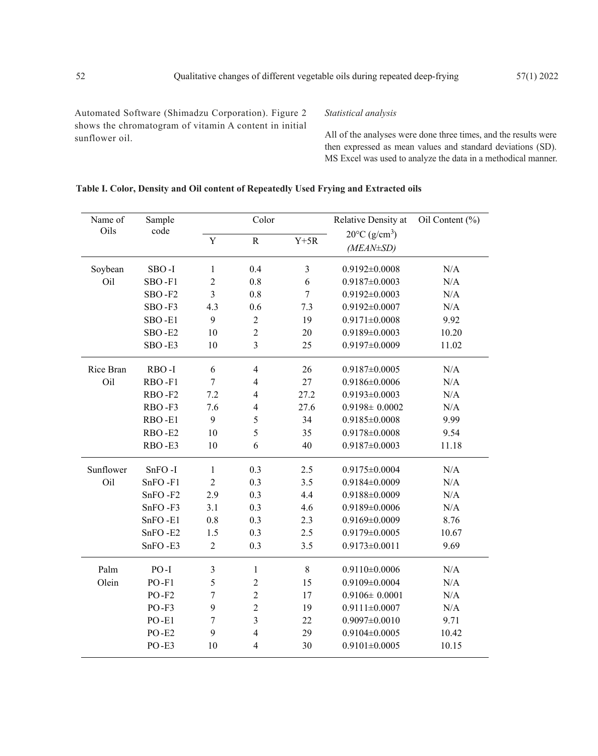Automated Software (Shimadzu Corporation). Figure 2 shows the chromatogram of vitamin A content in initial sunflower oil.

# *Statistical analysis*

All of the analyses were done three times, and the results were then expressed as mean values and standard deviations (SD). MS Excel was used to analyze the data in a methodical manner.

# **Table I. Color, Density and Oil content of Repeatedly Used Frying and Extracted oils**

| Name of<br>Oils | Sample<br>code | Color                   |                  |                  | Relative Density at                                    | Oil Content (%) |  |
|-----------------|----------------|-------------------------|------------------|------------------|--------------------------------------------------------|-----------------|--|
|                 |                | Y                       | $\rm R$          | $Y+5R$           | $20^{\circ}$ C (g/cm <sup>3</sup> )<br>$(MEAN \pm SD)$ |                 |  |
| Soybean         | SBO-I          | $\mathbf{1}$            | 0.4              | $\mathfrak{Z}$   | $0.9192 \pm 0.0008$                                    | N/A             |  |
| Oil             | SBO-F1         | $\overline{c}$          | 0.8              | 6                | $0.9187 \pm 0.0003$                                    | N/A             |  |
|                 | SBO-F2         | $\overline{\mathbf{3}}$ | $0.8\,$          | $\boldsymbol{7}$ | $0.9192 \pm 0.0003$                                    | N/A             |  |
|                 | SBO-F3         | 4.3                     | 0.6              | 7.3              | $0.9192 \pm 0.0007$                                    | N/A             |  |
|                 | SBO-E1         | 9                       | $\boldsymbol{2}$ | 19               | $0.9171 \pm 0.0008$                                    | 9.92            |  |
|                 | SBO-E2         | 10                      | $\overline{c}$   | 20               | $0.9189 \pm 0.0003$                                    | 10.20           |  |
|                 | SBO-E3         | 10                      | $\overline{3}$   | 25               | $0.9197 \pm 0.0009$                                    | 11.02           |  |
| Rice Bran       | RBO-I          | 6                       | $\overline{4}$   | 26               | $0.9187 \pm 0.0005$                                    | N/A             |  |
| Oil             | RBO-F1         | $\overline{7}$          | $\overline{4}$   | 27               | $0.9186 \pm 0.0006$                                    | N/A             |  |
|                 | RBO-F2         | 7.2                     | $\overline{4}$   | 27.2             | $0.9193 \pm 0.0003$                                    | N/A             |  |
|                 | RBO-F3         | 7.6                     | $\overline{4}$   | 27.6             | $0.9198 \pm 0.0002$                                    | N/A             |  |
|                 | RBO-E1         | 9                       | 5                | 34               | $0.9185 \pm 0.0008$                                    | 9.99            |  |
|                 | RBO-E2         | 10                      | 5                | 35               | $0.9178 \pm 0.0008$                                    | 9.54            |  |
|                 | RBO-E3         | 10                      | 6                | 40               | $0.9187 \pm 0.0003$                                    | 11.18           |  |
| Sunflower       | SnFO-I         | $\mathbf{1}$            | 0.3              | 2.5              | $0.9175 \pm 0.0004$                                    | N/A             |  |
| Oil             | $SnFO - F1$    | $\overline{2}$          | 0.3              | 3.5              | $0.9184 \pm 0.0009$                                    | N/A             |  |
|                 | SnFO-F2        | 2.9                     | 0.3              | 4.4              | $0.9188 \pm 0.0009$                                    | N/A             |  |
|                 | SnFO-F3        | 3.1                     | 0.3              | 4.6              | $0.9189 \pm 0.0006$                                    | N/A             |  |
|                 | SnFO-E1        | 0.8                     | 0.3              | 2.3              | $0.9169 \pm 0.0009$                                    | 8.76            |  |
|                 | SnFO-E2        | 1.5                     | 0.3              | 2.5              | $0.9179 \pm 0.0005$                                    | 10.67           |  |
|                 | SnFO-E3        | $\overline{2}$          | 0.3              | 3.5              | $0.9173 \pm 0.0011$                                    | 9.69            |  |
| Palm            | $PO-I$         | $\mathfrak{Z}$          | $\mathbf{1}$     | 8                | $0.9110\pm0.0006$                                      | N/A             |  |
| Olein           | $PO-F1$        | 5                       | $\overline{2}$   | 15               | $0.9109 \pm 0.0004$                                    | N/A             |  |
|                 | $PO-F2$        | $\boldsymbol{7}$        | $\overline{c}$   | 17               | $0.9106 \pm 0.0001$                                    | N/A             |  |
|                 | $PO-F3$        | 9                       | $\overline{c}$   | 19               | $0.9111 \pm 0.0007$                                    | N/A             |  |
|                 | $PO-E1$        | $\boldsymbol{7}$        | $\overline{3}$   | 22               | $0.9097 \pm 0.0010$                                    | 9.71            |  |
|                 | $PO-E2$        | 9                       | $\overline{4}$   | 29               | $0.9104 \pm 0.0005$                                    | 10.42           |  |
|                 | PO-E3          | 10                      | $\overline{4}$   | 30               | $0.9101 \pm 0.0005$                                    | 10.15           |  |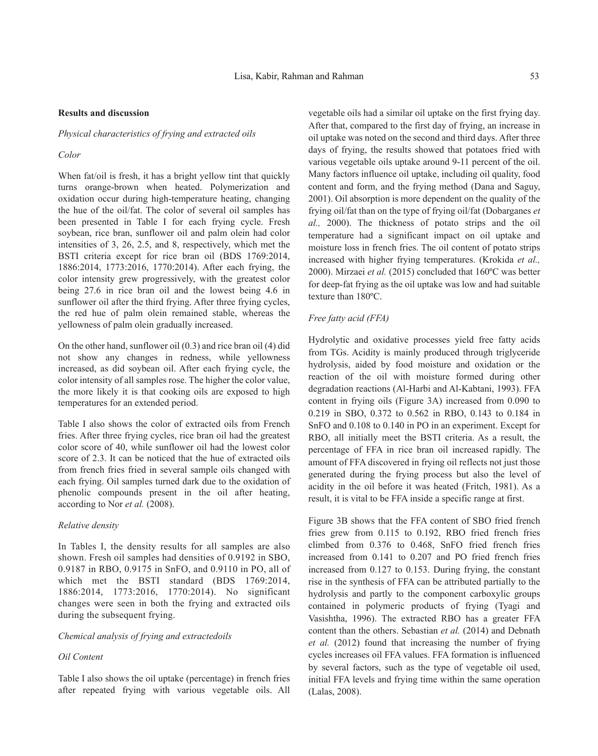#### **Results and discussion**

#### *Physical characteristics of frying and extracted oils*

# *Color*

When fat/oil is fresh, it has a bright yellow tint that quickly turns orange-brown when heated. Polymerization and oxidation occur during high-temperature heating, changing the hue of the oil/fat. The color of several oil samples has been presented in Table I for each frying cycle. Fresh soybean, rice bran, sunflower oil and palm olein had color intensities of 3, 26, 2.5, and 8, respectively, which met the BSTI criteria except for rice bran oil (BDS 1769:2014, 1886:2014, 1773:2016, 1770:2014). After each frying, the color intensity grew progressively, with the greatest color being 27.6 in rice bran oil and the lowest being 4.6 in sunflower oil after the third frying. After three frying cycles, the red hue of palm olein remained stable, whereas the yellowness of palm olein gradually increased.

On the other hand, sunflower oil (0.3) and rice bran oil (4) did not show any changes in redness, while yellowness increased, as did soybean oil. After each frying cycle, the color intensity of all samples rose. The higher the color value, the more likely it is that cooking oils are exposed to high temperatures for an extended period.

Table I also shows the color of extracted oils from French fries. After three frying cycles, rice bran oil had the greatest color score of 40, while sunflower oil had the lowest color score of 2.3. It can be noticed that the hue of extracted oils from french fries fried in several sample oils changed with each frying. Oil samples turned dark due to the oxidation of phenolic compounds present in the oil after heating, according to Nor *et al.* (2008).

# *Relative density*

In Tables I, the density results for all samples are also shown. Fresh oil samples had densities of 0.9192 in SBO, 0.9187 in RBO, 0.9175 in SnFO, and 0.9110 in PO, all of which met the BSTI standard (BDS 1769:2014, 1886:2014, 1773:2016, 1770:2014). No significant changes were seen in both the frying and extracted oils during the subsequent frying.

#### *Chemical analysis of frying and extractedoils*

#### *Oil Content*

Table I also shows the oil uptake (percentage) in french fries after repeated frying with various vegetable oils. All

vegetable oils had a similar oil uptake on the first frying day. After that, compared to the first day of frying, an increase in oil uptake was noted on the second and third days. After three days of frying, the results showed that potatoes fried with various vegetable oils uptake around 9-11 percent of the oil. Many factors influence oil uptake, including oil quality, food content and form, and the frying method (Dana and Saguy, 2001). Oil absorption is more dependent on the quality of the frying oil/fat than on the type of frying oil/fat (Dobarganes *et al.,* 2000). The thickness of potato strips and the oil temperature had a significant impact on oil uptake and moisture loss in french fries. The oil content of potato strips increased with higher frying temperatures. (Krokida *et al.,* 2000). Mirzaei *et al.* (2015) concluded that 160ºC was better for deep-fat frying as the oil uptake was low and had suitable texture than 180ºC.

#### *Free fatty acid (FFA)*

Hydrolytic and oxidative processes yield free fatty acids from TGs. Acidity is mainly produced through triglyceride hydrolysis, aided by food moisture and oxidation or the reaction of the oil with moisture formed during other degradation reactions (Al-Harbi and Al-Kabtani, 1993). FFA content in frying oils (Figure 3A) increased from 0.090 to 0.219 in SBO, 0.372 to 0.562 in RBO, 0.143 to 0.184 in SnFO and 0.108 to 0.140 in PO in an experiment. Except for RBO, all initially meet the BSTI criteria. As a result, the percentage of FFA in rice bran oil increased rapidly. The amount of FFA discovered in frying oil reflects not just those generated during the frying process but also the level of acidity in the oil before it was heated (Fritch, 1981). As a result, it is vital to be FFA inside a specific range at first.

Figure 3B shows that the FFA content of SBO fried french fries grew from 0.115 to 0.192, RBO fried french fries climbed from 0.376 to 0.468, SnFO fried french fries increased from 0.141 to 0.207 and PO fried french fries increased from 0.127 to 0.153. During frying, the constant rise in the synthesis of FFA can be attributed partially to the hydrolysis and partly to the component carboxylic groups contained in polymeric products of frying (Tyagi and Vasishtha, 1996). The extracted RBO has a greater FFA content than the others. Sebastian *et al.* (2014) and Debnath *et al.* (2012) found that increasing the number of frying cycles increases oil FFA values. FFA formation is influenced by several factors, such as the type of vegetable oil used, initial FFA levels and frying time within the same operation (Lalas, 2008).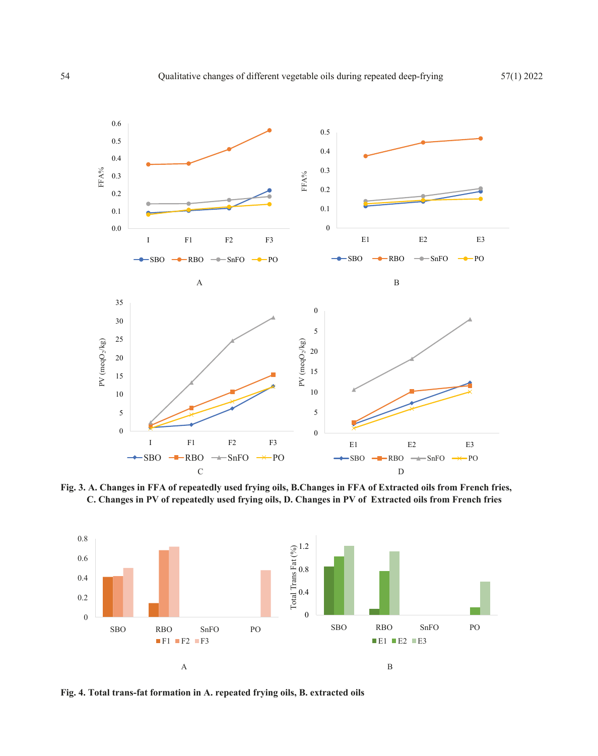

**Fig. 3. A. Changes in FFA of repeatedly used frying oils, B.Changes in FFA of Extracted oils from French fries, C. Changes in PV of repeatedly used frying oils, D. Changes in PV of Extracted oils from French fries**



**Fig. 4. Total trans-fat formation in A. repeated frying oils, B. extracted oils**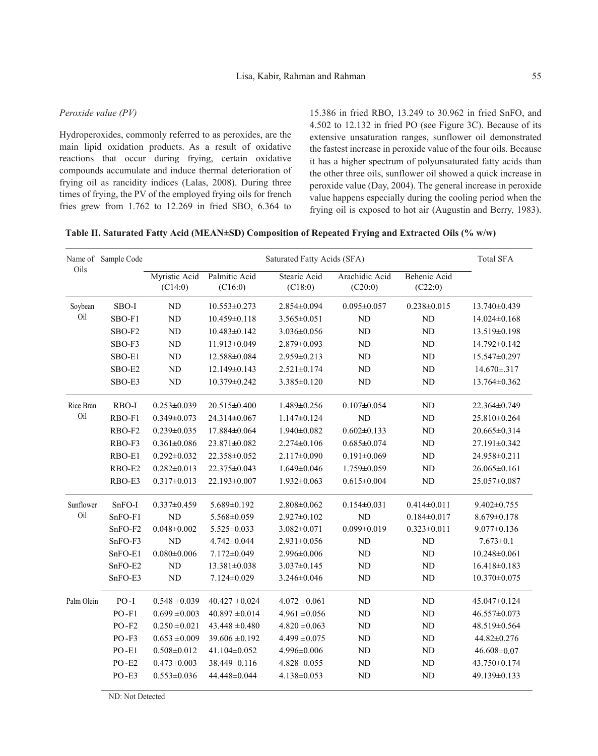#### *Peroxide value (PV)*

Hydroperoxides, commonly referred to as peroxides, are the main lipid oxidation products. As a result of oxidative reactions that occur during frying, certain oxidative compounds accumulate and induce thermal deterioration of frying oil as rancidity indices (Lalas, 2008). During three times of frying, the PV of the employed frying oils for french fries grew from 1.762 to 12.269 in fried SBO, 6.364 to

15.386 in fried RBO, 13.249 to 30.962 in fried SnFO, and 4.502 to 12.132 in fried PO (see Figure 3C). Because of its extensive unsaturation ranges, sunflower oil demonstrated the fastest increase in peroxide value of the four oils. Because it has a higher spectrum of polyunsaturated fatty acids than the other three oils, sunflower oil showed a quick increase in peroxide value (Day, 2004). The general increase in peroxide value happens especially during the cooling period when the frying oil is exposed to hot air (Augustin and Berry, 1983).

|  | Table II. Saturated Fatty Acid (MEAN±SD) Composition of Repeated Frying and Extracted Oils (% w/w) |  |
|--|----------------------------------------------------------------------------------------------------|--|
|  |                                                                                                    |  |

|            | Name of Sample Code |                          | <b>Total SFA</b>         |                         |                           |                         |                    |
|------------|---------------------|--------------------------|--------------------------|-------------------------|---------------------------|-------------------------|--------------------|
| Oils       |                     | Myristic Acid<br>(C14:0) | Palmitic Acid<br>(C16:0) | Stearic Acid<br>(C18:0) | Arachidic Acid<br>(C20:0) | Behenic Acid<br>(C22:0) |                    |
| Soybean    | $SBO-I$             | ND                       | $10.553 \pm 0.273$       | $2.854 \pm 0.094$       | $0.095 \pm 0.057$         | $0.238 \pm 0.015$       | 13.740±0.439       |
| Oil        | SBO-F1              | ${\rm ND}$               | $10.459 \pm 0.118$       | $3.565 \pm 0.051$       | ND                        | ND                      | $14.024 \pm 0.168$ |
|            | SBO-F2              | $\rm ND$                 | $10.483 \pm 0.142$       | $3.036 \pm 0.056$       | ND                        | ND                      | 13.519±0.198       |
|            | SBO-F3              | ${\rm ND}$               | 11.913±0.049             | 2.879±0.093             | ND                        | ND                      | 14.792±0.142       |
|            | SBO-E1              | $\rm ND$                 | 12.588±0.084             | 2.959±0.213             | ND                        | ND                      | 15.547±0.297       |
|            | SBO-E2              | $\rm ND$                 | 12.149±0.143             | $2.521 \pm 0.174$       | <b>ND</b>                 | ND                      | 14.670±.317        |
|            | SBO-E3              | ND                       | 10.379±0.242             | 3.385±0.120             | N <sub>D</sub>            | N <sub>D</sub>          | 13.764±0.362       |
| Rice Bran  | RBO-I               | $0.253 \pm 0.039$        | 20.515±0.400             | 1.489±0.256             | $0.107 \pm 0.054$         | <b>ND</b>               | 22.364±0.749       |
| Oil        | RBO-F1              | $0.349 \pm 0.073$        | 24.314±0.067             | $1.147 \pm 0.124$       | <b>ND</b>                 | <b>ND</b>               | 25.810±0.264       |
|            | RBO-F2              | $0.239 \pm 0.035$        | 17.884±0.064             | 1.940±0.082             | $0.602 \pm 0.133$         | ND                      | 20.665±0.314       |
|            | RBO-F3              | $0.361 \pm 0.086$        | 23.871±0.082             | $2.274 \pm 0.106$       | $0.685 \pm 0.074$         | ND                      | 27.191±0.342       |
|            | RBO-E1              | $0.292 \pm 0.032$        | 22.358±0.052             | $2.117 \pm 0.090$       | $0.191 \pm 0.069$         | ND                      | 24.958±0.211       |
|            | RBO-E2              | $0.282 \pm 0.013$        | 22.375±0.043             | $1.649 \pm 0.046$       | 1.759±0.059               | ND                      | 26.065±0.161       |
|            | RBO-E3              | $0.317 \pm 0.013$        | 22.193±0.007             | $1.932 \pm 0.063$       | $0.615 \pm 0.004$         | ${\rm ND}$              | 25.057±0.087       |
| Sunflower  | SnFO-I              | $0.337 \pm 0.459$        | 5.689±0.192              | $2.808 \pm 0.062$       | $0.154 \pm 0.031$         | $0.414 \pm 0.011$       | $9.402 \pm 0.755$  |
| Oil        | $SnFO-F1$           | ND                       | 5.568±0.059              | $2.927 \pm 0.102$       | ND                        | $0.184 \pm 0.017$       | $8.679 \pm 0.178$  |
|            | SnFO-F2             | $0.048 \pm 0.002$        | $5.525 \pm 0.033$        | $3.082 \pm 0.071$       | $0.099 \pm 0.019$         | $0.323 \pm 0.011$       | $9.077 \pm 0.136$  |
|            | SnFO-F3             | N <sub>D</sub>           | 4.742±0.044              | $2.931 \pm 0.056$       | ND                        | ND                      | $7.673 \pm 0.1$    |
|            | SnFO-E1             | $0.080 \pm 0.006$        | $7.172 \pm 0.049$        | 2.996±0.006             | ND                        | ND                      | $10.248 \pm 0.061$ |
|            | SnFO-E2             | ND                       | $13.381 \pm 0.038$       | $3.037 \pm 0.145$       | <b>ND</b>                 | ND                      | $16.418 \pm 0.183$ |
|            | SnFO-E3             | $\rm ND$                 | $7.124 \pm 0.029$        | 3.246±0.046             | ND                        | ND                      | 10.370±0.075       |
| Palm Olein | $PO-I$              | $0.548 \pm 0.039$        | $40.427 \pm 0.024$       | $4.072 \pm 0.061$       | <b>ND</b>                 | <b>ND</b>               | 45.047±0.124       |
|            | $PO-F1$             | $0.699 \pm 0.003$        | $40.897 \pm 0.014$       | $4.961 \pm 0.056$       | ND                        | <b>ND</b>               | 46.557±0.073       |
|            | $PO-F2$             | $0.250 \pm 0.021$        | $43.448 \pm 0.480$       | $4.820 \pm 0.063$       | ND                        | ND                      | 48.519±0.564       |
|            | $PO-F3$             | $0.653 \pm 0.009$        | $39.606 \pm 0.192$       | $4.499 \pm 0.075$       | ND                        | ND                      | 44.82±0.276        |
|            | $PO-E1$             | $0.508 \pm 0.012$        | 41.104±0.052             | 4.996±0.006             | ND                        | ND                      | $46.608 \pm 0.07$  |
|            | PO-E2               | $0.473 \pm 0.003$        | 38.449±0.116             | $4.828 \pm 0.055$       | ND                        | ND                      | 43.750±0.174       |
|            | $PO-E3$             | $0.553 \pm 0.036$        | 44.448±0.044             | 4.138±0.053             | ND                        | ND                      | 49.139±0.133       |

ND: Not Detected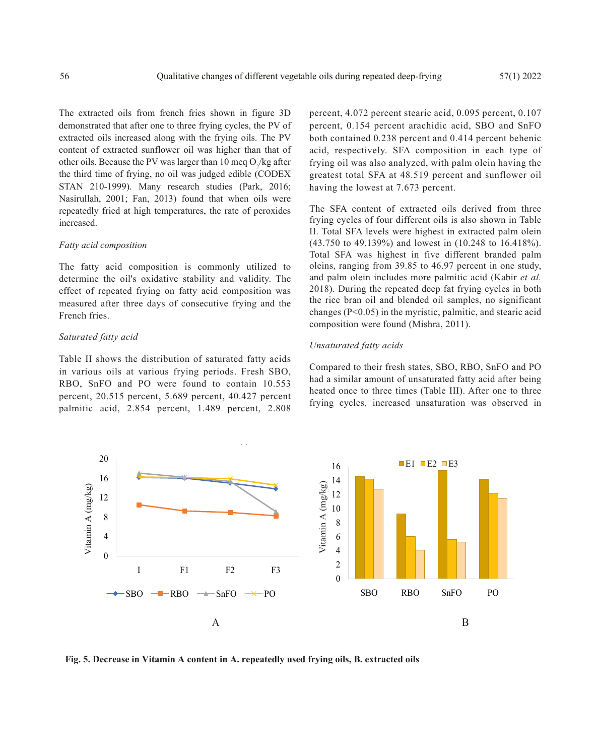The extracted oils from french fries shown in figure 3D demonstrated that after one to three frying cycles, the PV of extracted oils increased along with the frying oils. The PV content of extracted sunflower oil was higher than that of other oils. Because the PV was larger than 10 meq  $O_2$ /kg after the third time of frying, no oil was judged edible (CODEX STAN 210-1999). Many research studies (Park, 2016; Nasirullah, 2001; Fan, 2013) found that when oils were repeatedly fried at high temperatures, the rate of peroxides increased.

#### *Fatty acid composition*

The fatty acid composition is commonly utilized to determine the oil's oxidative stability and validity. The effect of repeated frying on fatty acid composition was measured after three days of consecutive frying and the French fries.

# *Saturated fatty acid*

Table II shows the distribution of saturated fatty acids in various oils at various frying periods. Fresh SBO, RBO, SnFO and PO were found to contain 10.553 percent, 20.515 percent, 5.689 percent, 40.427 percent palmitic acid, 2.854 percent, 1.489 percent, 2.808 percent, 4.072 percent stearic acid, 0.095 percent, 0.107 percent, 0.154 percent arachidic acid, SBO and SnFO both contained 0.238 percent and 0.414 percent behenic acid, respectively. SFA composition in each type of frying oil was also analyzed, with palm olein having the greatest total SFA at 48.519 percent and sunflower oil having the lowest at 7.673 percent.

The SFA content of extracted oils derived from three frying cycles of four different oils is also shown in Table II. Total SFA levels were highest in extracted palm olein (43.750 to 49.139%) and lowest in (10.248 to 16.418%). Total SFA was highest in five different branded palm oleins, ranging from 39.85 to 46.97 percent in one study, and palm olein includes more palmitic acid (Kabir *et al.* 2018). During the repeated deep fat frying cycles in both the rice bran oil and blended oil samples, no significant changes (P<0.05) in the myristic, palmitic, and stearic acid composition were found (Mishra, 2011).

#### *Unsaturated fatty acids*

Compared to their fresh states, SBO, RBO, SnFO and PO had a similar amount of unsaturated fatty acid after being heated once to three times (Table III). After one to three frying cycles, increased unsaturation was observed in



**Fig. 5. Decrease in Vitamin A content in A. repeatedly used frying oils, B. extracted oils**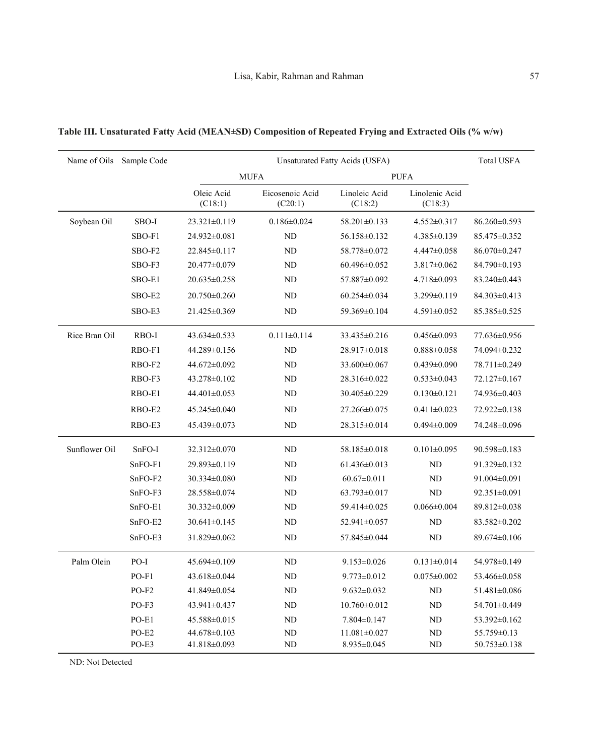|               | Name of Oils Sample Code |                       | <b>Total USFA</b>          |                          |                           |                    |
|---------------|--------------------------|-----------------------|----------------------------|--------------------------|---------------------------|--------------------|
|               |                          | <b>MUFA</b>           |                            | <b>PUFA</b>              |                           |                    |
|               |                          | Oleic Acid<br>(C18:1) | Eicosenoic Acid<br>(C20:1) | Linoleic Acid<br>(C18:2) | Linolenic Acid<br>(C18:3) |                    |
| Soybean Oil   | SBO-I                    | 23.321±0.119          | $0.186 \pm 0.024$          | $58.201 \pm 0.133$       | $4.552 \pm 0.317$         | $86.260 \pm 0.593$ |
|               | SBO-F1                   | 24.932±0.081          | ND                         | 56.158±0.132             | 4.385±0.139               | $85.475 \pm 0.352$ |
|               | SBO-F2                   | $22.845 \pm 0.117$    | <b>ND</b>                  | 58.778±0.072             | $4.447 \pm 0.058$         | 86.070±0.247       |
|               | SBO-F3                   | 20.477±0.079          | ND                         | 60.496±0.052             | $3.817 \pm 0.062$         | 84.790±0.193       |
|               | SBO-E1                   | $20.635 \pm 0.258$    | <b>ND</b>                  | 57.887±0.092             | $4.718 \pm 0.093$         | 83.240±0.443       |
|               | SBO-E2                   | 20.750±0.260          | ND                         | $60.254 \pm 0.034$       | 3.299±0.119               | 84.303±0.413       |
|               | SBO-E3                   | 21.425±0.369          | ND                         | 59.369±0.104             | $4.591 \pm 0.052$         | 85.385±0.525       |
| Rice Bran Oil | RBO-I                    | $43.634 \pm 0.533$    | $0.111 \pm 0.114$          | 33.435±0.216             | $0.456 \pm 0.093$         | 77.636±0.956       |
|               | RBO-F1                   | 44.289±0.156          | <b>ND</b>                  | 28.917±0.018             | $0.888 \pm 0.058$         | 74.094±0.232       |
|               | RBO-F <sub>2</sub>       | 44.672±0.092          | ND                         | 33.600±0.067             | $0.439 \pm 0.090$         | 78.711±0.249       |
|               | RBO-F3                   | 43.278±0.102          | ND                         | 28.316±0.022             | $0.533 \pm 0.043$         | 72.127±0.167       |
|               | RBO-E1                   | $44.401 \pm 0.053$    | ND                         | 30.405±0.229             | $0.130 \pm 0.121$         | 74.936±0.403       |
|               | RBO-E2                   | 45.245±0.040          | ND                         | 27.266±0.075             | $0.411 \pm 0.023$         | $72.922 \pm 0.138$ |
|               | RBO-E3                   | 45.439±0.073          | <b>ND</b>                  | 28.315±0.014             | $0.494 \pm 0.009$         | 74.248±0.096       |
| Sunflower Oil | SnFO-I                   | 32.312±0.070          | <b>ND</b>                  | 58.185±0.018             | $0.101 \pm 0.095$         | 90.598±0.183       |
|               | $SnFO-F1$                | 29.893±0.119          | ND                         | $61.436 \pm 0.013$       | ND                        | $91.329 \pm 0.132$ |
|               | SnFO-F2                  | $30.334 \pm 0.080$    | ND                         | $60.67 \pm 0.011$        | <b>ND</b>                 | 91.004±0.091       |
|               | $SnFO-F3$                | 28.558±0.074          | ND                         | $63.793 \pm 0.017$       | <b>ND</b>                 | $92.351 \pm 0.091$ |
|               | SnFO-E1                  | 30.332±0.009          | ND                         | 59.414±0.025             | $0.066 \pm 0.004$         | 89.812±0.038       |
|               | SnFO-E2                  | $30.641 \pm 0.145$    | ND                         | 52.941±0.057             | ND                        | 83.582±0.202       |
|               | SnFO-E3                  | 31.829±0.062          | ND                         | 57.845±0.044             | ND                        | $89.674 \pm 0.106$ |
| Palm Olein    | PO-I                     | 45.694±0.109          | <b>ND</b>                  | $9.153 \pm 0.026$        | $0.131 \pm 0.014$         | 54.978±0.149       |
|               | $PO-F1$                  | 43.618±0.044          | ND                         | $9.773 \pm 0.012$        | $0.075 \pm 0.002$         | 53.466±0.058       |
|               | $PO-F2$                  | 41.849±0.054          | <b>ND</b>                  | $9.632 \pm 0.032$        | <b>ND</b>                 | 51.481±0.086       |
|               | $PO-F3$                  | $43.941 \pm 0.437$    | ND                         | $10.760 \pm 0.012$       | ND                        | 54.701±0.449       |
|               | PO-E1                    | 45.588±0.015          | ND                         | $7.804 \pm 0.147$        | <b>ND</b>                 | 53.392±0.162       |
|               | $PO-E2$                  | $44.678 \pm 0.103$    | ND                         | $11.081 \pm 0.027$       | $\rm ND$                  | 55.759±0.13        |
|               | PO-E3                    | 41.818±0.093          | <b>ND</b>                  | $8.935 \pm 0.045$        | <b>ND</b>                 | $50.753 \pm 0.138$ |

# **Table III. Unsaturated Fatty Acid (MEAN±SD) Composition of Repeated Frying and Extracted Oils (% w/w)**

ND: Not Detected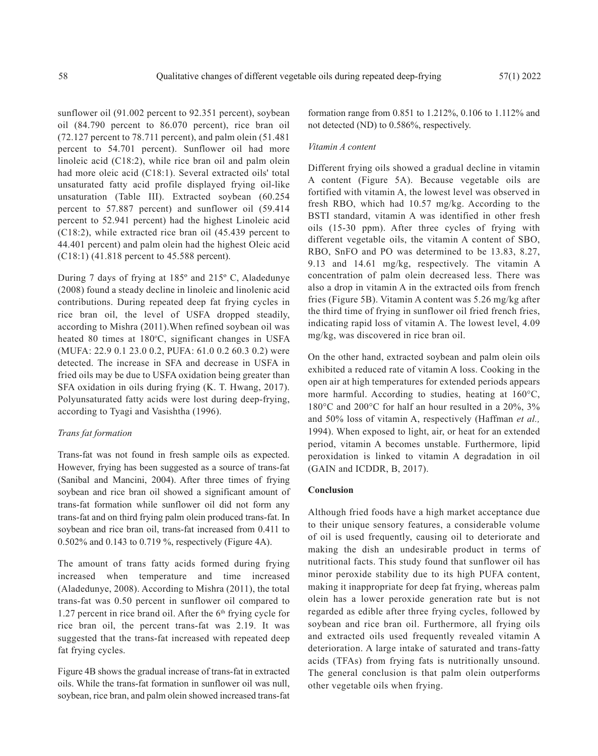sunflower oil (91.002 percent to 92.351 percent), soybean oil (84.790 percent to 86.070 percent), rice bran oil (72.127 percent to 78.711 percent), and palm olein (51.481 percent to 54.701 percent). Sunflower oil had more linoleic acid (C18:2), while rice bran oil and palm olein had more oleic acid (C18:1). Several extracted oils' total unsaturated fatty acid profile displayed frying oil-like unsaturation (Table III). Extracted soybean (60.254 percent to 57.887 percent) and sunflower oil (59.414 percent to 52.941 percent) had the highest Linoleic acid (C18:2), while extracted rice bran oil (45.439 percent to 44.401 percent) and palm olein had the highest Oleic acid (C18:1) (41.818 percent to 45.588 percent).

During 7 days of frying at 185º and 215º C, Aladedunye (2008) found a steady decline in linoleic and linolenic acid contributions. During repeated deep fat frying cycles in rice bran oil, the level of USFA dropped steadily, according to Mishra (2011).When refined soybean oil was heated 80 times at 180°C, significant changes in USFA (MUFA: 22.9 0.1 23.0 0.2, PUFA: 61.0 0.2 60.3 0.2) were detected. The increase in SFA and decrease in USFA in fried oils may be due to USFA oxidation being greater than SFA oxidation in oils during frying (K. T. Hwang, 2017). Polyunsaturated fatty acids were lost during deep-frying, according to Tyagi and Vasishtha (1996).

#### *Trans fat formation*

Trans-fat was not found in fresh sample oils as expected. However, frying has been suggested as a source of trans-fat (Sanibal and Mancini, 2004). After three times of frying soybean and rice bran oil showed a significant amount of trans-fat formation while sunflower oil did not form any trans-fat and on third frying palm olein produced trans-fat. In soybean and rice bran oil, trans-fat increased from 0.411 to 0.502% and 0.143 to 0.719 %, respectively (Figure 4A).

The amount of trans fatty acids formed during frying increased when temperature and time increased (Aladedunye, 2008). According to Mishra (2011), the total trans-fat was 0.50 percent in sunflower oil compared to 1.27 percent in rice brand oil. After the  $6<sup>th</sup>$  frying cycle for rice bran oil, the percent trans-fat was 2.19. It was suggested that the trans-fat increased with repeated deep fat frying cycles.

Figure 4B shows the gradual increase of trans-fat in extracted oils. While the trans-fat formation in sunflower oil was null, soybean, rice bran, and palm olein showed increased trans-fat

formation range from 0.851 to 1.212%, 0.106 to 1.112% and not detected (ND) to 0.586%, respectively.

# *Vitamin A content*

Different frying oils showed a gradual decline in vitamin A content (Figure 5A). Because vegetable oils are fortified with vitamin A, the lowest level was observed in fresh RBO, which had 10.57 mg/kg. According to the BSTI standard, vitamin A was identified in other fresh oils (15-30 ppm). After three cycles of frying with different vegetable oils, the vitamin A content of SBO, RBO, SnFO and PO was determined to be 13.83, 8.27, 9.13 and 14.61 mg/kg, respectively. The vitamin A concentration of palm olein decreased less. There was also a drop in vitamin A in the extracted oils from french fries (Figure 5B). Vitamin A content was 5.26 mg/kg after the third time of frying in sunflower oil fried french fries, indicating rapid loss of vitamin A. The lowest level, 4.09 mg/kg, was discovered in rice bran oil.

On the other hand, extracted soybean and palm olein oils exhibited a reduced rate of vitamin A loss. Cooking in the open air at high temperatures for extended periods appears more harmful. According to studies, heating at 160°C, 180°C and 200°C for half an hour resulted in a 20%, 3% and 50% loss of vitamin A, respectively (Haffman *et al.,* 1994). When exposed to light, air, or heat for an extended period, vitamin A becomes unstable. Furthermore, lipid peroxidation is linked to vitamin A degradation in oil (GAIN and ICDDR, B, 2017).

#### **Conclusion**

Although fried foods have a high market acceptance due to their unique sensory features, a considerable volume of oil is used frequently, causing oil to deteriorate and making the dish an undesirable product in terms of nutritional facts. This study found that sunflower oil has minor peroxide stability due to its high PUFA content, making it inappropriate for deep fat frying, whereas palm olein has a lower peroxide generation rate but is not regarded as edible after three frying cycles, followed by soybean and rice bran oil. Furthermore, all frying oils and extracted oils used frequently revealed vitamin A deterioration. A large intake of saturated and trans-fatty acids (TFAs) from frying fats is nutritionally unsound. The general conclusion is that palm olein outperforms other vegetable oils when frying.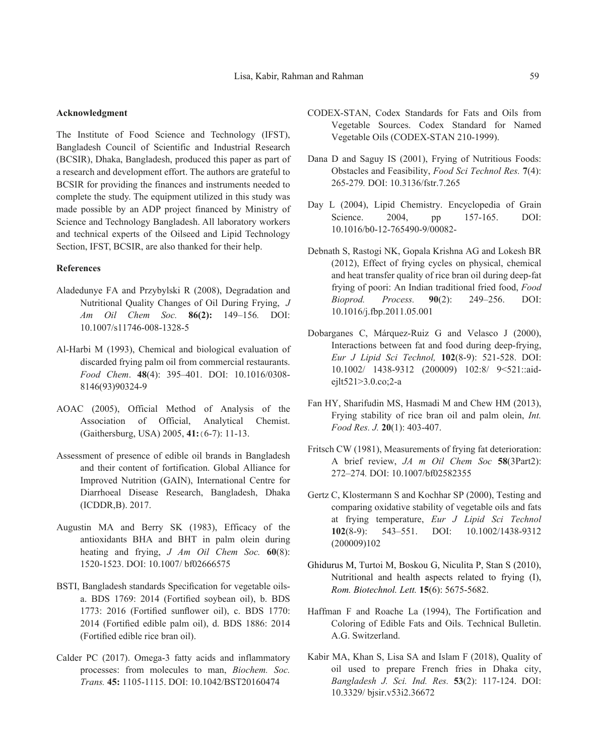#### **Acknowledgment**

The Institute of Food Science and Technology (IFST), Bangladesh Council of Scientific and Industrial Research (BCSIR), Dhaka, Bangladesh, produced this paper as part of a research and development effort. The authors are grateful to BCSIR for providing the finances and instruments needed to complete the study. The equipment utilized in this study was made possible by an ADP project financed by Ministry of Science and Technology Bangladesh. All laboratory workers and technical experts of the Oilseed and Lipid Technology Section, IFST, BCSIR, are also thanked for their help.

# **References**

- Aladedunye FA and Przybylski R (2008), Degradation and Nutritional Quality Changes of Oil During Frying, *J Am Oil Chem Soc.* **86(2):** 149–156*.* DOI: 10.1007/s11746-008-1328-5
- Al-Harbi M (1993), Chemical and biological evaluation of discarded frying palm oil from commercial restaurants. *Food Chem*. **48**(4): 395–401. DOI: 10.1016/0308- 8146(93)90324-9
- AOAC (2005), Official Method of Analysis of the Association of Official, Analytical Chemist. (Gaithersburg, USA) 2005, **41:**(6-7): 11-13.
- Assessment of presence of edible oil brands in Bangladesh and their content of fortification. Global Alliance for Improved Nutrition (GAIN), International Centre for Diarrhoeal Disease Research, Bangladesh, Dhaka (ICDDR,B). 2017.
- Augustin MA and Berry SK (1983), Efficacy of the antioxidants BHA and BHT in palm olein during heating and frying, *J Am Oil Chem Soc.* **60**(8): 1520-1523. DOI: 10.1007/ bf02666575
- BSTI, Bangladesh standards Specification for vegetable oilsa. BDS 1769: 2014 (Fortified soybean oil), b. BDS 1773: 2016 (Fortified sunflower oil), c. BDS 1770: 2014 (Fortified edible palm oil), d. BDS 1886: 2014 (Fortified edible rice bran oil).
- Calder PC (2017). Omega-3 fatty acids and inflammatory processes: from molecules to man, *Biochem. Soc. Trans.* **45:** 1105-1115. DOI: 10.1042/BST20160474
- CODEX-STAN, Codex Standards for Fats and Oils from Vegetable Sources. Codex Standard for Named Vegetable Oils (CODEX-STAN 210-1999).
- Dana D and Saguy IS (2001), Frying of Nutritious Foods: Obstacles and Feasibility, *Food Sci Technol Res.* **7**(4): 265-279*.* DOI: 10.3136/fstr.7.265
- Day L (2004), Lipid Chemistry. Encyclopedia of Grain Science. 2004, pp 157-165. DOI: 10.1016/b0-12-765490-9/00082-
- Debnath S, Rastogi NK, Gopala Krishna AG and Lokesh BR (2012), Effect of frying cycles on physical, chemical and heat transfer quality of rice bran oil during deep-fat frying of poori: An Indian traditional fried food, *Food Bioprod. Process.* **90**(2): 249–256. DOI: 10.1016/j.fbp.2011.05.001
- Dobarganes C, Márquez-Ruiz G and Velasco J (2000), Interactions between fat and food during deep-frying, *Eur J Lipid Sci Technol,* **102**(8-9): 521-528. DOI: 10.1002/ 1438-9312 (200009) 102:8/ 9<521::aidejlt521>3.0.co;2-a
- Fan HY, Sharifudin MS, Hasmadi M and Chew HM (2013), Frying stability of rice bran oil and palm olein, *Int. Food Res. J.* **20**(1): 403-407.
- Fritsch CW (1981), Measurements of frying fat deterioration: A brief review, *JA m Oil Chem Soc* **58**(3Part2): 272–274*.* DOI: 10.1007/bf02582355
- Gertz C, Klostermann S and Kochhar SP (2000), Testing and comparing oxidative stability of vegetable oils and fats at frying temperature, *Eur J Lipid Sci Technol* **102**(8-9): 543–551. DOI: 10.1002/1438-9312 (200009)102
- Ghidurus M, Turtoi M, Boskou G, Niculita P, Stan S (2010), Nutritional and health aspects related to frying (I), *Rom. Biotechnol. Lett.* **15**(6): 5675-5682.
- Haffman F and Roache La (1994), The Fortification and Coloring of Edible Fats and Oils. Technical Bulletin. A.G. Switzerland.
- Kabir MA, Khan S, Lisa SA and Islam F (2018), Quality of oil used to prepare French fries in Dhaka city, *Bangladesh J. Sci. Ind. Res.* **53**(2): 117-124. DOI: 10.3329/ bjsir.v53i2.36672